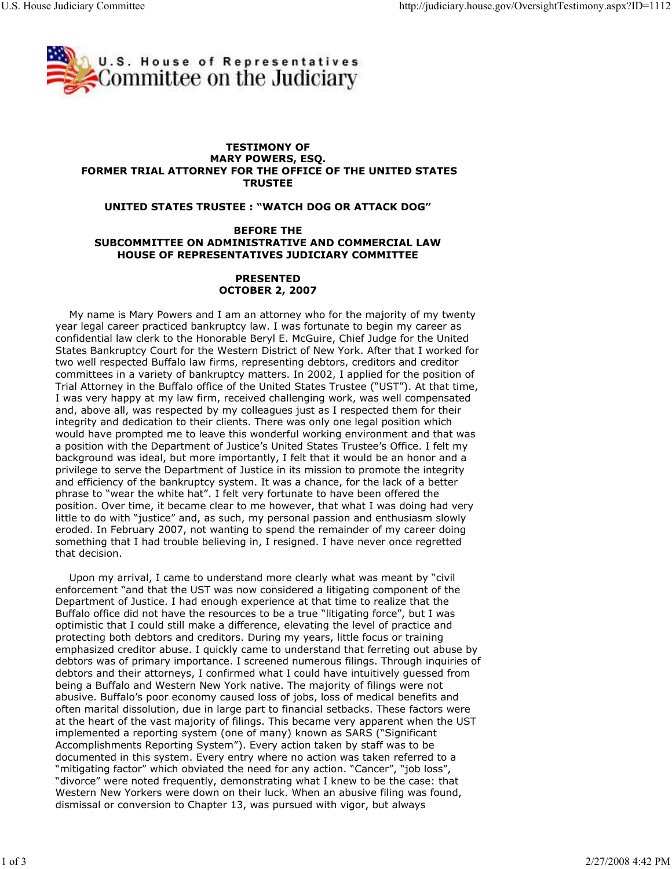

## TESTIMONY OF MARY POWERS, ESQ. FORMER TRIAL ATTORNEY FOR THE OFFICE OF THE UNITED STATES **TRUSTEE**

## UNITED STATES TRUSTEE : "WATCH DOG OR ATTACK DOG"

## BEFORE THE SUBCOMMITTEE ON ADMINISTRATIVE AND COMMERCIAL LAW HOUSE OF REPRESENTATIVES JUDICIARY COMMITTEE

## PRESENTED OCTOBER 2, 2007

 My name is Mary Powers and I am an attorney who for the majority of my twenty year legal career practiced bankruptcy law. I was fortunate to begin my career as confidential law clerk to the Honorable Beryl E. McGuire, Chief Judge for the United States Bankruptcy Court for the Western District of New York. After that I worked for two well respected Buffalo law firms, representing debtors, creditors and creditor committees in a variety of bankruptcy matters. In 2002, I applied for the position of Trial Attorney in the Buffalo office of the United States Trustee ("UST"). At that time, I was very happy at my law firm, received challenging work, was well compensated and, above all, was respected by my colleagues just as I respected them for their integrity and dedication to their clients. There was only one legal position which would have prompted me to leave this wonderful working environment and that was a position with the Department of Justice's United States Trustee's Office. I felt my background was ideal, but more importantly, I felt that it would be an honor and a privilege to serve the Department of Justice in its mission to promote the integrity and efficiency of the bankruptcy system. It was a chance, for the lack of a better phrase to "wear the white hat". I felt very fortunate to have been offered the position. Over time, it became clear to me however, that what I was doing had very little to do with "justice" and, as such, my personal passion and enthusiasm slowly eroded. In February 2007, not wanting to spend the remainder of my career doing something that I had trouble believing in, I resigned. I have never once regretted that decision.

 Upon my arrival, I came to understand more clearly what was meant by "civil enforcement "and that the UST was now considered a litigating component of the Department of Justice. I had enough experience at that time to realize that the Buffalo office did not have the resources to be a true "litigating force", but I was optimistic that I could still make a difference, elevating the level of practice and protecting both debtors and creditors. During my years, little focus or training emphasized creditor abuse. I quickly came to understand that ferreting out abuse by debtors was of primary importance. I screened numerous filings. Through inquiries of debtors and their attorneys, I confirmed what I could have intuitively guessed from being a Buffalo and Western New York native. The majority of filings were not abusive. Buffalo's poor economy caused loss of jobs, loss of medical benefits and often marital dissolution, due in large part to financial setbacks. These factors were at the heart of the vast majority of filings. This became very apparent when the UST implemented a reporting system (one of many) known as SARS ("Significant Accomplishments Reporting System"). Every action taken by staff was to be documented in this system. Every entry where no action was taken referred to a "mitigating factor" which obviated the need for any action. "Cancer", "job loss", "divorce" were noted frequently, demonstrating what I knew to be the case: that Western New Yorkers were down on their luck. When an abusive filing was found, dismissal or conversion to Chapter 13, was pursued with vigor, but always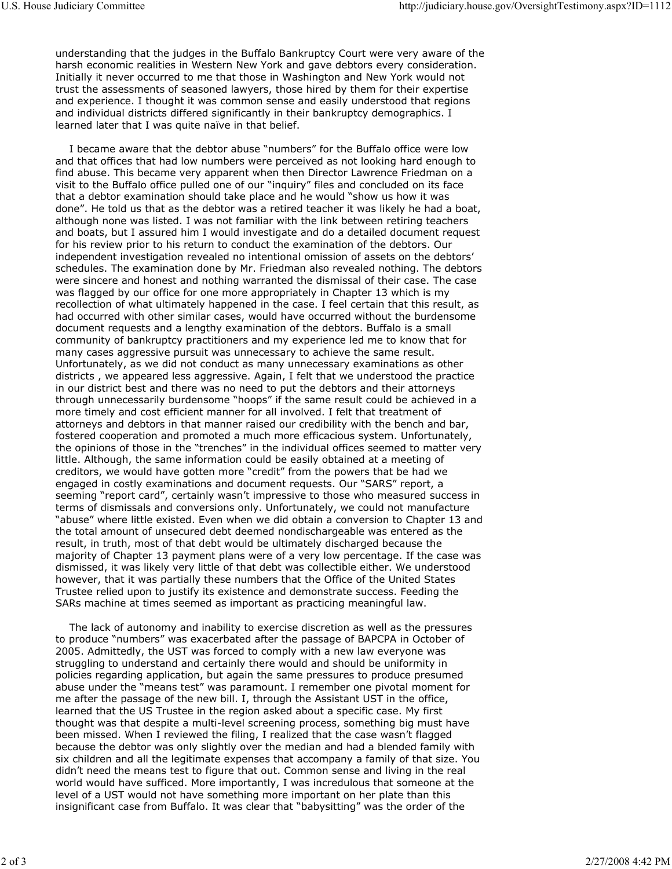understanding that the judges in the Buffalo Bankruptcy Court were very aware of the harsh economic realities in Western New York and gave debtors every consideration. Initially it never occurred to me that those in Washington and New York would not trust the assessments of seasoned lawyers, those hired by them for their expertise and experience. I thought it was common sense and easily understood that regions and individual districts differed significantly in their bankruptcy demographics. I learned later that I was quite naïve in that belief.

 I became aware that the debtor abuse "numbers" for the Buffalo office were low and that offices that had low numbers were perceived as not looking hard enough to find abuse. This became very apparent when then Director Lawrence Friedman on a visit to the Buffalo office pulled one of our "inquiry" files and concluded on its face that a debtor examination should take place and he would "show us how it was done". He told us that as the debtor was a retired teacher it was likely he had a boat, although none was listed. I was not familiar with the link between retiring teachers and boats, but I assured him I would investigate and do a detailed document request for his review prior to his return to conduct the examination of the debtors. Our independent investigation revealed no intentional omission of assets on the debtors' schedules. The examination done by Mr. Friedman also revealed nothing. The debtors were sincere and honest and nothing warranted the dismissal of their case. The case was flagged by our office for one more appropriately in Chapter 13 which is my recollection of what ultimately happened in the case. I feel certain that this result, as had occurred with other similar cases, would have occurred without the burdensome document requests and a lengthy examination of the debtors. Buffalo is a small community of bankruptcy practitioners and my experience led me to know that for many cases aggressive pursuit was unnecessary to achieve the same result. Unfortunately, as we did not conduct as many unnecessary examinations as other districts , we appeared less aggressive. Again, I felt that we understood the practice in our district best and there was no need to put the debtors and their attorneys through unnecessarily burdensome "hoops" if the same result could be achieved in a more timely and cost efficient manner for all involved. I felt that treatment of attorneys and debtors in that manner raised our credibility with the bench and bar, fostered cooperation and promoted a much more efficacious system. Unfortunately, the opinions of those in the "trenches" in the individual offices seemed to matter very little. Although, the same information could be easily obtained at a meeting of creditors, we would have gotten more "credit" from the powers that be had we engaged in costly examinations and document requests. Our "SARS" report, a seeming "report card", certainly wasn't impressive to those who measured success in terms of dismissals and conversions only. Unfortunately, we could not manufacture "abuse" where little existed. Even when we did obtain a conversion to Chapter 13 and the total amount of unsecured debt deemed nondischargeable was entered as the result, in truth, most of that debt would be ultimately discharged because the majority of Chapter 13 payment plans were of a very low percentage. If the case was dismissed, it was likely very little of that debt was collectible either. We understood however, that it was partially these numbers that the Office of the United States Trustee relied upon to justify its existence and demonstrate success. Feeding the SARs machine at times seemed as important as practicing meaningful law.

 The lack of autonomy and inability to exercise discretion as well as the pressures to produce "numbers" was exacerbated after the passage of BAPCPA in October of 2005. Admittedly, the UST was forced to comply with a new law everyone was struggling to understand and certainly there would and should be uniformity in policies regarding application, but again the same pressures to produce presumed abuse under the "means test" was paramount. I remember one pivotal moment for me after the passage of the new bill. I, through the Assistant UST in the office, learned that the US Trustee in the region asked about a specific case. My first thought was that despite a multi-level screening process, something big must have been missed. When I reviewed the filing, I realized that the case wasn't flagged because the debtor was only slightly over the median and had a blended family with six children and all the legitimate expenses that accompany a family of that size. You didn't need the means test to figure that out. Common sense and living in the real world would have sufficed. More importantly, I was incredulous that someone at the level of a UST would not have something more important on her plate than this insignificant case from Buffalo. It was clear that "babysitting" was the order of the